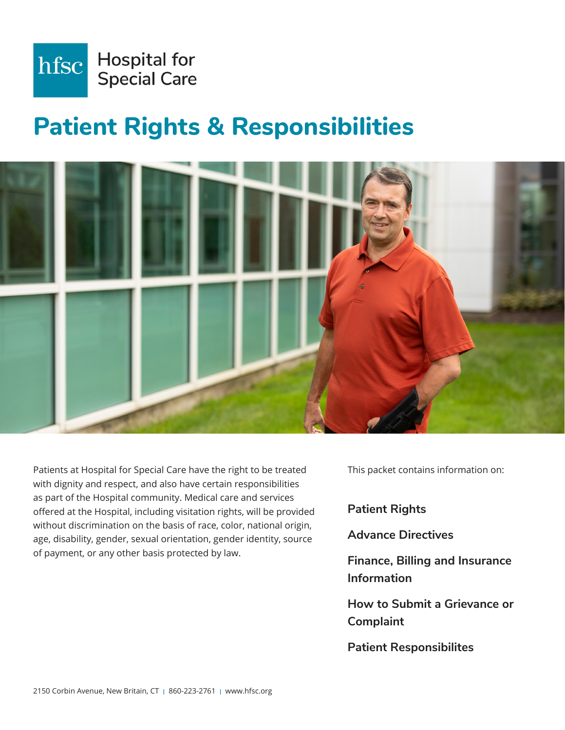

# **Patient Rights & Responsibilities**



Patients at Hospital for Special Care have the right to be treated with dignity and respect, and also have certain responsibilities as part of the Hospital community. Medical care and services offered at the Hospital, including visitation rights, will be provided without discrimination on the basis of race, color, national origin, age, disability, gender, sexual orientation, gender identity, source of payment, or any other basis protected by law.

This packet contains information on:

**Patient Rights**

**Advance Directives**

**Finance, Billing and Insurance Information**

**How to Submit a Grievance or Complaint**

**Patient Responsibilites**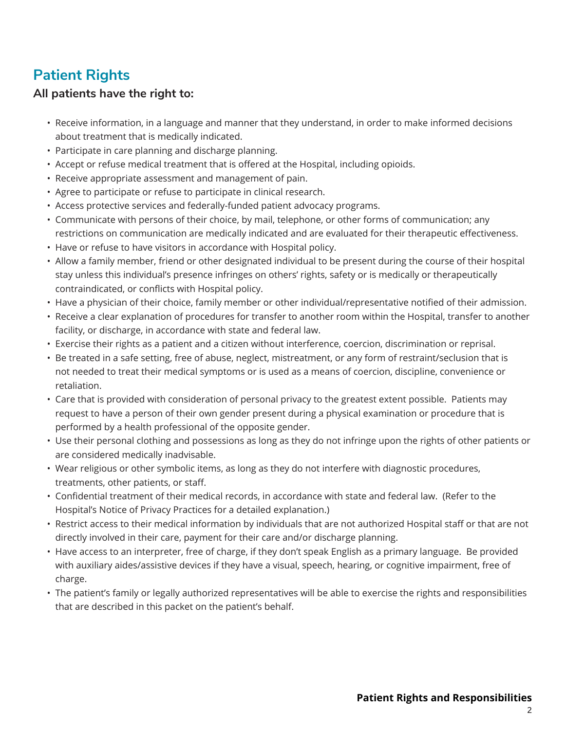# **Patient Rights**

#### **All patients have the right to:**

- Receive information, in a language and manner that they understand, in order to make informed decisions about treatment that is medically indicated.
- Participate in care planning and discharge planning.
- Accept or refuse medical treatment that is offered at the Hospital, including opioids.
- Receive appropriate assessment and management of pain.
- Agree to participate or refuse to participate in clinical research.
- Access protective services and federally-funded patient advocacy programs.
- Communicate with persons of their choice, by mail, telephone, or other forms of communication; any restrictions on communication are medically indicated and are evaluated for their therapeutic effectiveness.
- Have or refuse to have visitors in accordance with Hospital policy.
- Allow a family member, friend or other designated individual to be present during the course of their hospital stay unless this individual's presence infringes on others' rights, safety or is medically or therapeutically contraindicated, or conflicts with Hospital policy.
- Have a physician of their choice, family member or other individual/representative notified of their admission.
- Receive a clear explanation of procedures for transfer to another room within the Hospital, transfer to another facility, or discharge, in accordance with state and federal law.
- Exercise their rights as a patient and a citizen without interference, coercion, discrimination or reprisal.
- Be treated in a safe setting, free of abuse, neglect, mistreatment, or any form of restraint/seclusion that is not needed to treat their medical symptoms or is used as a means of coercion, discipline, convenience or retaliation.
- Care that is provided with consideration of personal privacy to the greatest extent possible. Patients may request to have a person of their own gender present during a physical examination or procedure that is performed by a health professional of the opposite gender.
- Use their personal clothing and possessions as long as they do not infringe upon the rights of other patients or are considered medically inadvisable.
- Wear religious or other symbolic items, as long as they do not interfere with diagnostic procedures, treatments, other patients, or staff.
- Confidential treatment of their medical records, in accordance with state and federal law. (Refer to the Hospital's Notice of Privacy Practices for a detailed explanation.)
- Restrict access to their medical information by individuals that are not authorized Hospital staff or that are not directly involved in their care, payment for their care and/or discharge planning.
- Have access to an interpreter, free of charge, if they don't speak English as a primary language. Be provided with auxiliary aides/assistive devices if they have a visual, speech, hearing, or cognitive impairment, free of charge.
- The patient's family or legally authorized representatives will be able to exercise the rights and responsibilities that are described in this packet on the patient's behalf.

2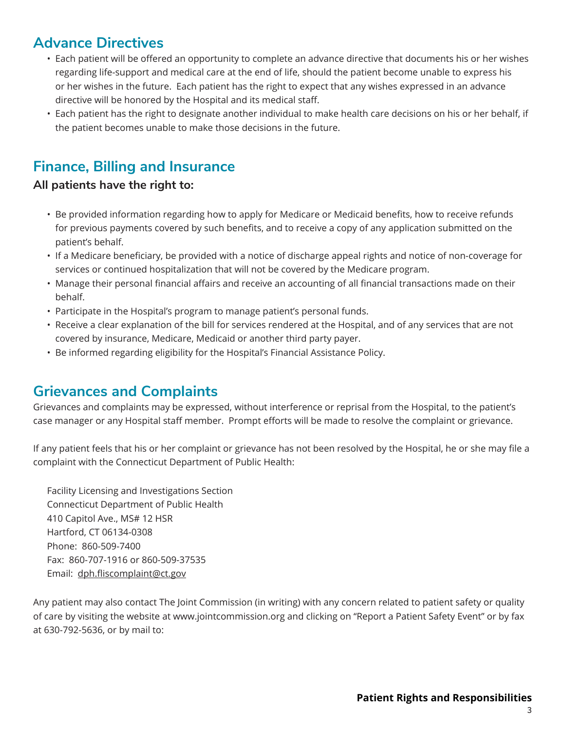## **Advance Directives**

- Each patient will be offered an opportunity to complete an advance directive that documents his or her wishes regarding life-support and medical care at the end of life, should the patient become unable to express his or her wishes in the future. Each patient has the right to expect that any wishes expressed in an advance directive will be honored by the Hospital and its medical staff.
- Each patient has the right to designate another individual to make health care decisions on his or her behalf, if the patient becomes unable to make those decisions in the future.

# **Finance, Billing and Insurance**

#### **All patients have the right to:**

- Be provided information regarding how to apply for Medicare or Medicaid benefits, how to receive refunds for previous payments covered by such benefits, and to receive a copy of any application submitted on the patient's behalf.
- If a Medicare beneficiary, be provided with a notice of discharge appeal rights and notice of non-coverage for services or continued hospitalization that will not be covered by the Medicare program.
- Manage their personal financial affairs and receive an accounting of all financial transactions made on their behalf.
- Participate in the Hospital's program to manage patient's personal funds.
- Receive a clear explanation of the bill for services rendered at the Hospital, and of any services that are not covered by insurance, Medicare, Medicaid or another third party payer.
- Be informed regarding eligibility for the Hospital's Financial Assistance Policy.

## **Grievances and Complaints**

Grievances and complaints may be expressed, without interference or reprisal from the Hospital, to the patient's case manager or any Hospital staff member. Prompt efforts will be made to resolve the complaint or grievance.

If any patient feels that his or her complaint or grievance has not been resolved by the Hospital, he or she may file a complaint with the Connecticut Department of Public Health:

Facility Licensing and Investigations Section Connecticut Department of Public Health 410 Capitol Ave., MS# 12 HSR Hartford, CT 06134-0308 Phone: 860-509-7400 Fax: 860-707-1916 or 860-509-37535 Email: dph.fliscomplaint@ct.gov

Any patient may also contact The Joint Commission (in writing) with any concern related to patient safety or quality of care by visiting the website at www.jointcommission.org and clicking on "Report a Patient Safety Event" or by fax at 630-792-5636, or by mail to: